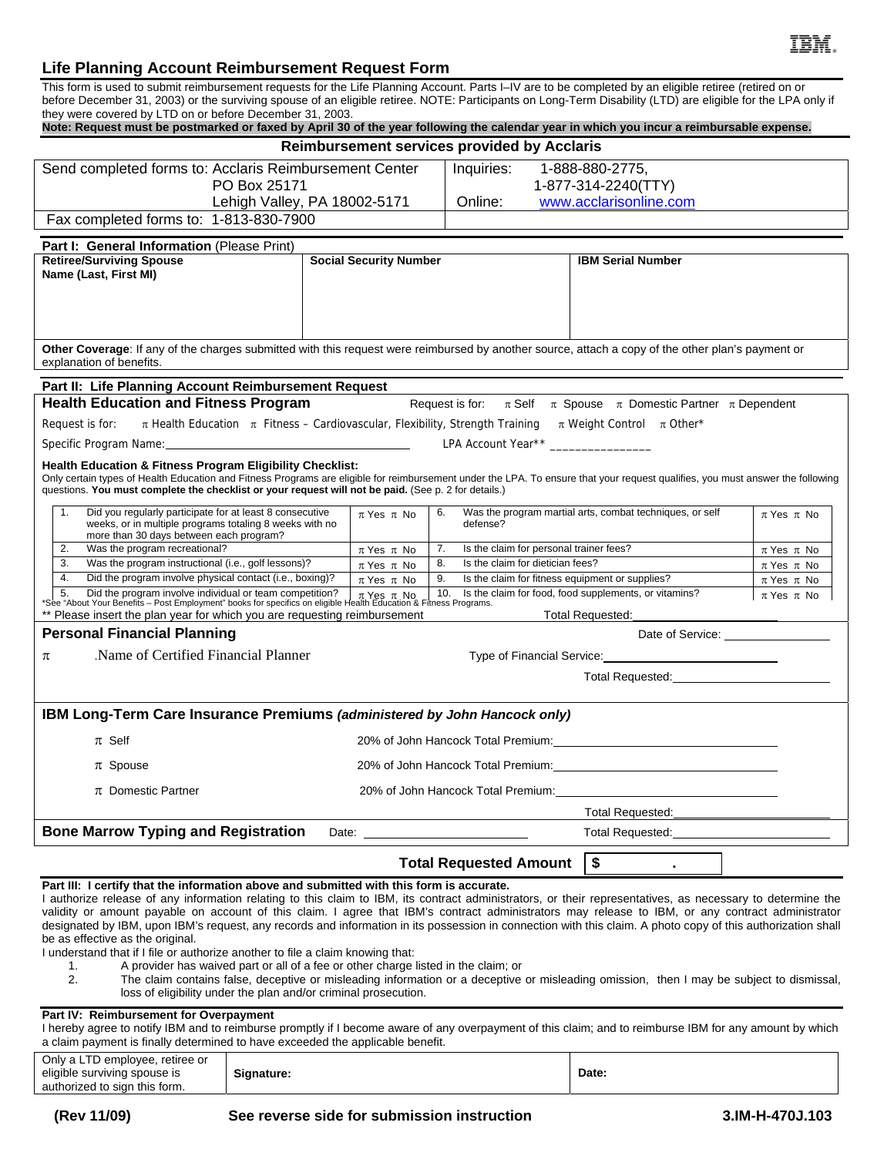# **Life Planning Account Reimbursement Request Form**

This form is used to submit reimbursement requests for the Life Planning Account. Parts I–IV are to be completed by an eligible retiree (retired on or before December 31, 2003) or the surviving spouse of an eligible retiree. NOTE: Participants on Long-Term Disability (LTD) are eligible for the LPA only if they were covered by LTD on or before December 31, 2003.

| Note: Request must be postmarked or faxed by April 30 of the year following the calendar year in which you incur a reimbursable expense.                                                                                                                                                                                                                 |                                                                       |                                                                                                                                                                                                                                |                                                          |                    |  |  |
|----------------------------------------------------------------------------------------------------------------------------------------------------------------------------------------------------------------------------------------------------------------------------------------------------------------------------------------------------------|-----------------------------------------------------------------------|--------------------------------------------------------------------------------------------------------------------------------------------------------------------------------------------------------------------------------|----------------------------------------------------------|--------------------|--|--|
| Reimbursement services provided by Acclaris                                                                                                                                                                                                                                                                                                              |                                                                       |                                                                                                                                                                                                                                |                                                          |                    |  |  |
| Send completed forms to: Acclaris Reimbursement Center                                                                                                                                                                                                                                                                                                   |                                                                       | Inquiries:                                                                                                                                                                                                                     | 1-888-880-2775,                                          |                    |  |  |
| PO Box 25171                                                                                                                                                                                                                                                                                                                                             |                                                                       |                                                                                                                                                                                                                                | 1-877-314-2240(TTY)                                      |                    |  |  |
| Lehigh Valley, PA 18002-5171                                                                                                                                                                                                                                                                                                                             |                                                                       | Online:<br>www.acclarisonline.com                                                                                                                                                                                              |                                                          |                    |  |  |
| Fax completed forms to: 1-813-830-7900                                                                                                                                                                                                                                                                                                                   |                                                                       |                                                                                                                                                                                                                                |                                                          |                    |  |  |
| Part I: General Information (Please Print)                                                                                                                                                                                                                                                                                                               |                                                                       |                                                                                                                                                                                                                                |                                                          |                    |  |  |
| <b>Retiree/Surviving Spouse</b><br>Name (Last, First MI)                                                                                                                                                                                                                                                                                                 | <b>Social Security Number</b>                                         | <b>IBM Serial Number</b>                                                                                                                                                                                                       |                                                          |                    |  |  |
|                                                                                                                                                                                                                                                                                                                                                          |                                                                       |                                                                                                                                                                                                                                |                                                          |                    |  |  |
|                                                                                                                                                                                                                                                                                                                                                          |                                                                       |                                                                                                                                                                                                                                |                                                          |                    |  |  |
|                                                                                                                                                                                                                                                                                                                                                          |                                                                       |                                                                                                                                                                                                                                |                                                          |                    |  |  |
| Other Coverage: If any of the charges submitted with this request were reimbursed by another source, attach a copy of the other plan's payment or<br>explanation of benefits.                                                                                                                                                                            |                                                                       |                                                                                                                                                                                                                                |                                                          |                    |  |  |
| Part II: Life Planning Account Reimbursement Request                                                                                                                                                                                                                                                                                                     |                                                                       |                                                                                                                                                                                                                                |                                                          |                    |  |  |
| <b>Health Education and Fitness Program</b><br>Request is for: $\pi$ Self $\pi$ Spouse $\pi$ Domestic Partner $\pi$ Dependent                                                                                                                                                                                                                            |                                                                       |                                                                                                                                                                                                                                |                                                          |                    |  |  |
| $\pi$ Health Education $\pi$ Fitness - Cardiovascular, Flexibility, Strength Training $\pi$ Weight Control $\pi$ Other*<br>Request is for:                                                                                                                                                                                                               |                                                                       |                                                                                                                                                                                                                                |                                                          |                    |  |  |
| Specific Program Name: Specific Analysis of the Specific Analysis of the Specific Analysis of the Specific Analysis of the Specific Analysis of the Specific Analysis of the Specific Analysis of the Specific Analysis of the                                                                                                                           |                                                                       | LPA Account Year <sup>**</sup>                                                                                                                                                                                                 |                                                          |                    |  |  |
| <b>Health Education &amp; Fitness Program Eligibility Checklist:</b>                                                                                                                                                                                                                                                                                     |                                                                       |                                                                                                                                                                                                                                |                                                          |                    |  |  |
| Only certain types of Health Education and Fitness Programs are eligible for reimbursement under the LPA. To ensure that your request qualifies, you must answer the following                                                                                                                                                                           |                                                                       |                                                                                                                                                                                                                                |                                                          |                    |  |  |
| questions. You must complete the checklist or your request will not be paid. (See p. 2 for details.)                                                                                                                                                                                                                                                     |                                                                       |                                                                                                                                                                                                                                |                                                          |                    |  |  |
| Did you regularly participate for at least 8 consecutive<br>1.<br>weeks, or in multiple programs totaling 8 weeks with no<br>more than 30 days between each program?                                                                                                                                                                                     | 6.<br>$\pi$ Yes $\pi$ No                                              | defense?                                                                                                                                                                                                                       | Was the program martial arts, combat techniques, or self | $\pi$ Yes $\pi$ No |  |  |
| Was the program recreational?<br>2.                                                                                                                                                                                                                                                                                                                      | 7.<br>$\pi$ Yes $\pi$ No                                              | Is the claim for personal trainer fees?                                                                                                                                                                                        |                                                          | $\pi$ Yes $\pi$ No |  |  |
| 3.<br>Was the program instructional (i.e., golf lessons)?<br>Did the program involve physical contact (i.e., boxing)?<br>4.                                                                                                                                                                                                                              | 8.<br>$\pi$ Yes $\pi$ No                                              | Is the claim for dietician fees?                                                                                                                                                                                               |                                                          | $\pi$ Yes $\pi$ No |  |  |
| Did the program involve individual or team competition?                                                                                                                                                                                                                                                                                                  | $\pi$ Yes $\pi$ No                                                    | 9.<br>Is the claim for fitness equipment or supplies?<br>$\pi$ Yes $\pi$ No<br>Is the claim for food, food supplements, or vitamins?<br>$\pi$ Yes $\pi$ No                                                                     |                                                          |                    |  |  |
| 5. Did the program involve individual or team competition? $\frac{1}{\pi}$ Yes $\frac{\pi}{R}$ No $\frac{1}{\pi}$ 10. Is the c<br>*See "About Your Benefits – Post Employment" books for specifics on eligible Health Education & Fitness Progra<br>** Please insert the plan year for which you are requesting reimbursement<br><b>Total Requested:</b> |                                                                       |                                                                                                                                                                                                                                |                                                          |                    |  |  |
| <b>Personal Financial Planning</b><br>Date of Service: Network                                                                                                                                                                                                                                                                                           |                                                                       |                                                                                                                                                                                                                                |                                                          |                    |  |  |
| Name of Certified Financial Planner<br>$\pi$                                                                                                                                                                                                                                                                                                             |                                                                       |                                                                                                                                                                                                                                |                                                          |                    |  |  |
| Total Requested: Total Requested:                                                                                                                                                                                                                                                                                                                        |                                                                       |                                                                                                                                                                                                                                |                                                          |                    |  |  |
|                                                                                                                                                                                                                                                                                                                                                          |                                                                       |                                                                                                                                                                                                                                |                                                          |                    |  |  |
| IBM Long-Term Care Insurance Premiums (administered by John Hancock only)                                                                                                                                                                                                                                                                                |                                                                       |                                                                                                                                                                                                                                |                                                          |                    |  |  |
| $\pi$ Self                                                                                                                                                                                                                                                                                                                                               | 20% of John Hancock Total Premium: 20% of John Hancock Total Premium: |                                                                                                                                                                                                                                |                                                          |                    |  |  |
| $\pi$ Spouse                                                                                                                                                                                                                                                                                                                                             |                                                                       | 20% of John Hancock Total Premium: North American American Control of Texas and American American Control of T                                                                                                                 |                                                          |                    |  |  |
| $\pi$ Domestic Partner                                                                                                                                                                                                                                                                                                                                   |                                                                       | 20% of John Hancock Total Premium: New York Contracts and the Contracts of the Contracts of the Contracts of the Contracts of the Contracts of the Contracts of the Contracts of the Contracts of the Contracts of the Contrac |                                                          |                    |  |  |
|                                                                                                                                                                                                                                                                                                                                                          |                                                                       |                                                                                                                                                                                                                                | Total Requested: Total Requested:                        |                    |  |  |
| <b>Bone Marrow Typing and Registration</b>                                                                                                                                                                                                                                                                                                               |                                                                       |                                                                                                                                                                                                                                | Total Requested:                                         |                    |  |  |
|                                                                                                                                                                                                                                                                                                                                                          |                                                                       | <b>Total Requested Amount</b>                                                                                                                                                                                                  | \$                                                       |                    |  |  |

### **Part III: I certify that the information above and submitted with this form is accurate.**

I authorize release of any information relating to this claim to IBM, its contract administrators, or their representatives, as necessary to determine the validity or amount payable on account of this claim. I agree that IBM's contract administrators may release to IBM, or any contract administrator designated by IBM, upon IBM's request, any records and information in its possession in connection with this claim. A photo copy of this authorization shall be as effective as the original.

I understand that if I file or authorize another to file a claim knowing that:

- 1. A provider has waived part or all of a fee or other charge listed in the claim; or<br>2. The claim contains false, deceptive or misleading information or a deceptive
- 2. The claim contains false, deceptive or misleading information or a deceptive or misleading omission, then I may be subject to dismissal, loss of eligibility under the plan and/or criminal prosecution.

### **Part IV: Reimbursement for Overpayment**

I hereby agree to notify IBM and to reimburse promptly if I become aware of any overpayment of this claim; and to reimburse IBM for any amount by which a claim payment is finally determined to have exceeded the applicable benefit.

| Only a LTD employee, retiree or<br>eligible surviving spouse is<br>authorized to sign this form. | Signature: | Date: |
|--------------------------------------------------------------------------------------------------|------------|-------|
|--------------------------------------------------------------------------------------------------|------------|-------|